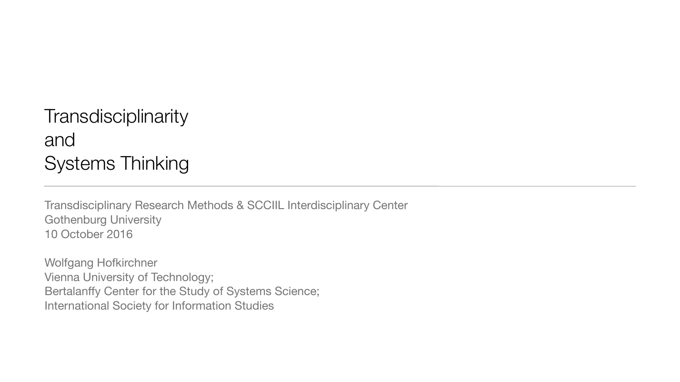# **Transdisciplinarity** and Systems Thinking

Transdisciplinary Research Methods & SCCIIL Interdisciplinary Center Gothenburg University 10 October 2016

Wolfgang Hofkirchner Vienna University of Technology; Bertalanffy Center for the Study of Systems Science; International Society for Information Studies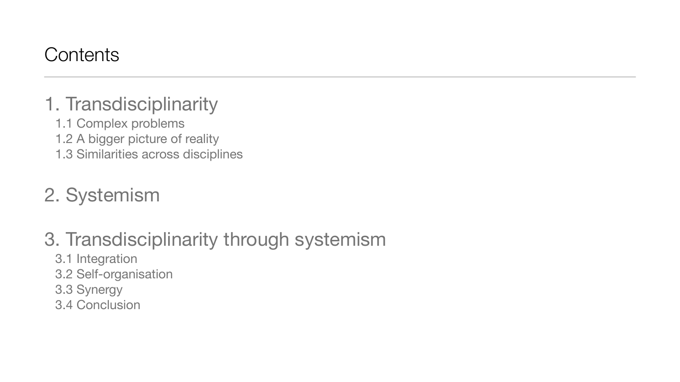## **Contents**

# 1. Transdisciplinarity

- 1.1 Complex problems
- 1.2 A bigger picture of reality
- 1.3 Similarities across disciplines

# 2. Systemism

# 3. Transdisciplinarity through systemism

- 3.1 Integration
- 3.2 Self-organisation
- 3.3 Synergy
- 3.4 Conclusion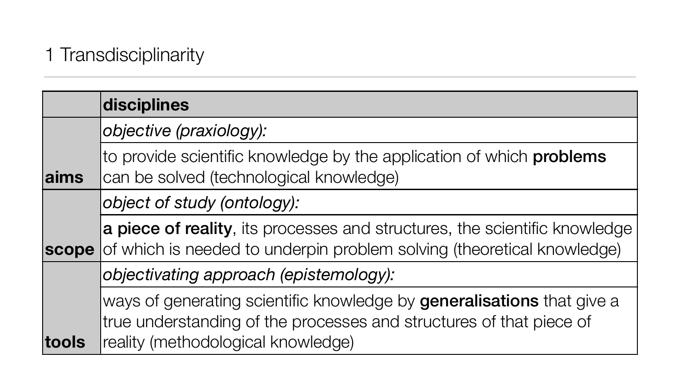## 1 Transdisciplinarity

|       | disciplines                                                                                                                                    |  |  |  |
|-------|------------------------------------------------------------------------------------------------------------------------------------------------|--|--|--|
|       | objective (praxiology):                                                                                                                        |  |  |  |
| aims  | to provide scientific knowledge by the application of<br>can be solved (technological knowledge)                                               |  |  |  |
|       | object of study (ontology):                                                                                                                    |  |  |  |
| scope | a piece of reality, its processes and structures, the<br>of which is needed to underpin problem solving (the                                   |  |  |  |
|       | objectivating approach (epistemology):                                                                                                         |  |  |  |
| tools | ways of generating scientific knowledge by general<br>true understanding of the processes and structures<br>reality (methodological knowledge) |  |  |  |

## of which problems

e scientific knowledge eoretical knowledge)

**lisations** that give a of that piece of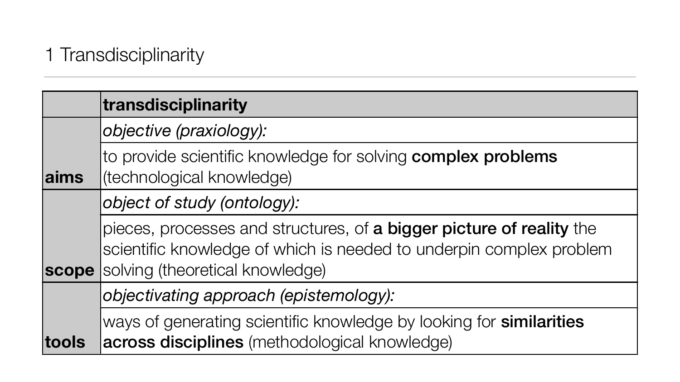## 1 Transdisciplinarity

|       | transdisciplinarity                                                                                                                           |
|-------|-----------------------------------------------------------------------------------------------------------------------------------------------|
|       | objective (praxiology):                                                                                                                       |
| aims  | to provide scientific knowledge for solving complex<br>(technological knowledge)                                                              |
|       | object of study (ontology):                                                                                                                   |
| scope | pieces, processes and structures, of a bigger pictu<br>scientific knowledge of which is needed to underpir<br>solving (theoretical knowledge) |
|       | objectivating approach (epistemology):                                                                                                        |
| tools | ways of generating scientific knowledge by looking<br>across disciplines (methodological knowledge)                                           |

## for similarities

## ure of reality the n complex problem

# **x** problems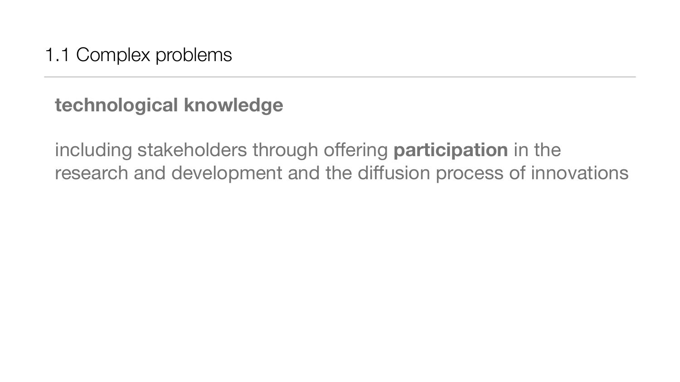1.1 Complex problems

# **technological knowledge**

including stakeholders through offering **participation** in the research and development and the diffusion process of innovations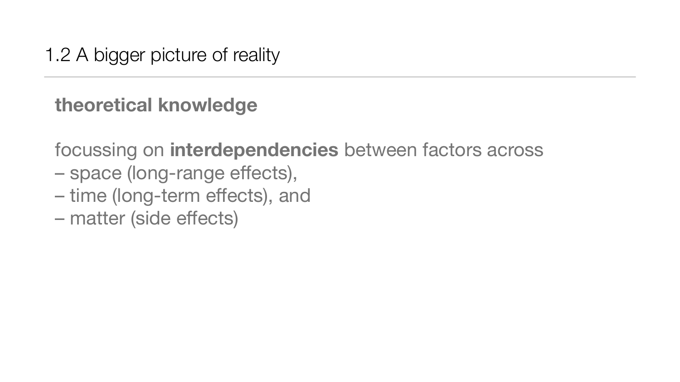# 1.2 A bigger picture of reality

# **theoretical knowledge**

focussing on **interdependencies** between factors across

- space (long-range effects),
- time (long-term effects), and
- matter (side effects)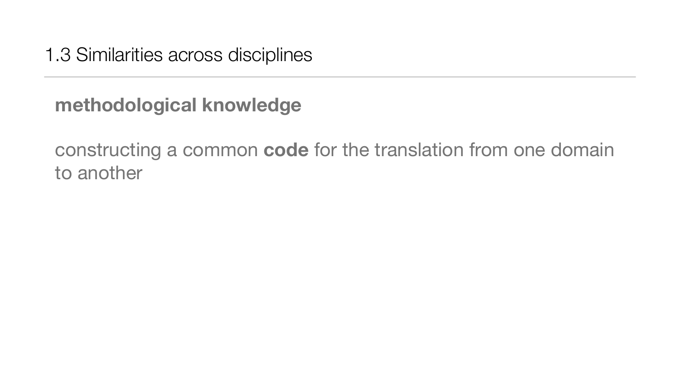1.3 Similarities across disciplines

# **methodological knowledge**

constructing a common **code** for the translation from one domain to another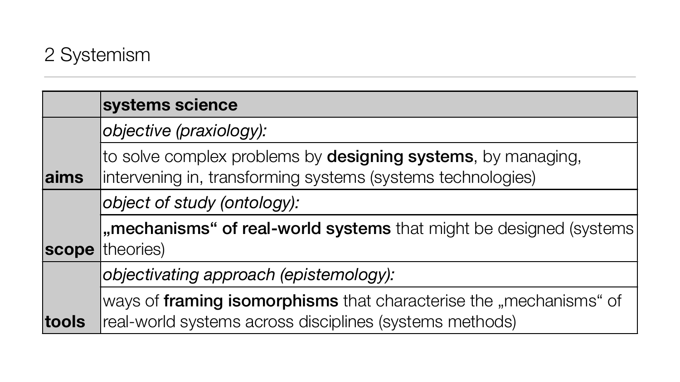# 2 Systemism

|       | systems science                                                                                                   |
|-------|-------------------------------------------------------------------------------------------------------------------|
|       | objective (praxiology):                                                                                           |
| aims  | to solve complex problems by designing systems, by m<br>intervening in, transforming systems (systems technologie |
|       | object of study (ontology):                                                                                       |
| scope | "mechanisms" of real-world systems that might be de<br>theories)                                                  |
|       | objectivating approach (epistemology):                                                                            |
|       | ways of framing isomorphisms that characterise the "m                                                             |
| tools | real-world systems across disciplines (systems methods)                                                           |

## by managing, nologies)

## be designed (systems

he "mechanisms" of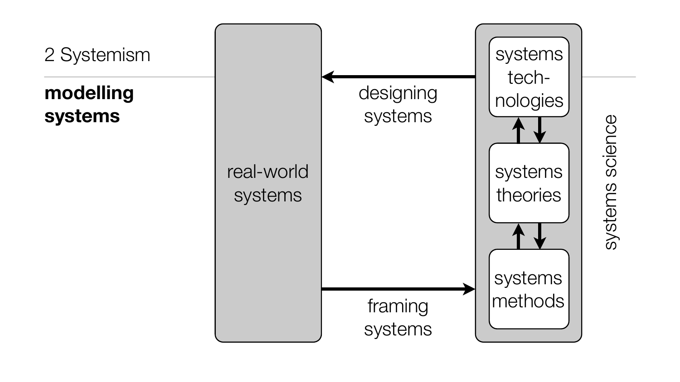# 2 Systemism

# **modelling systems**





science systems sciencesystems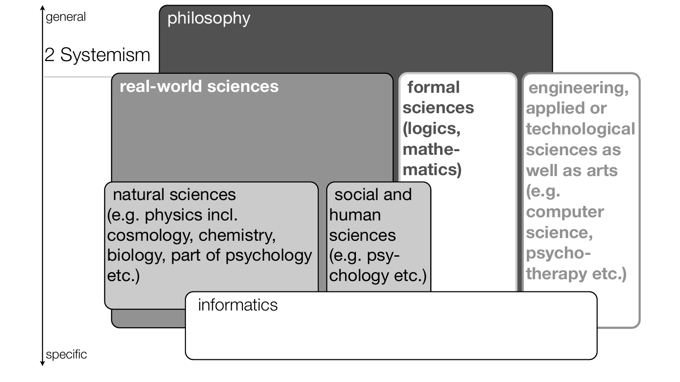

**engineering, applied or technological sciences as well as arts (e.g. computer science, psychotherapy etc.)**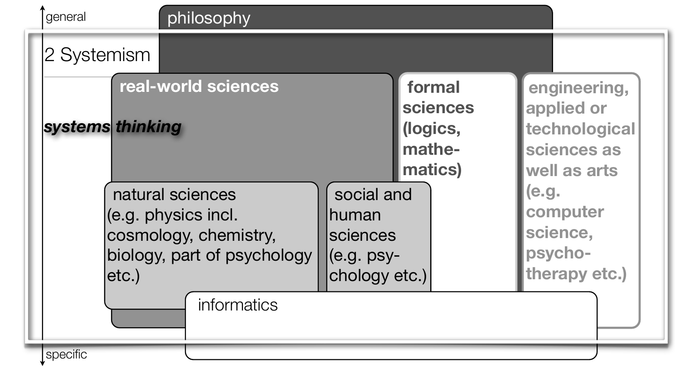

**engineering, applied or technological sciences as well as arts (e.g. computer science, psychotherapy etc.)**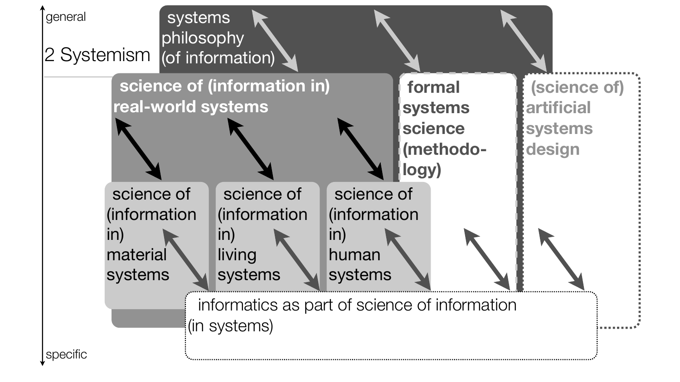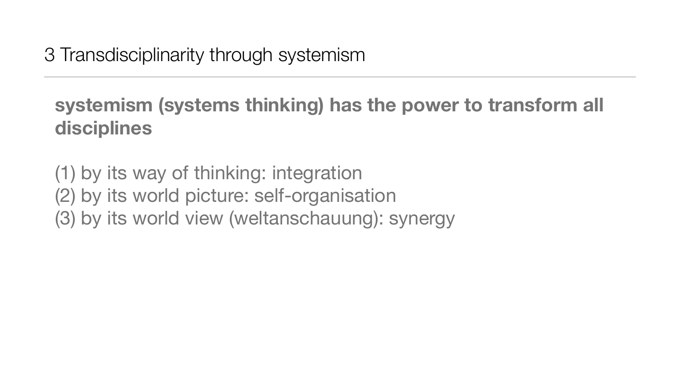3 Transdisciplinarity through systemism

# **systemism (systems thinking) has the power to transform all disciplines**

(1) by its way of thinking: integration (2) by its world picture: self-organisation (3) by its world view (weltanschauung): synergy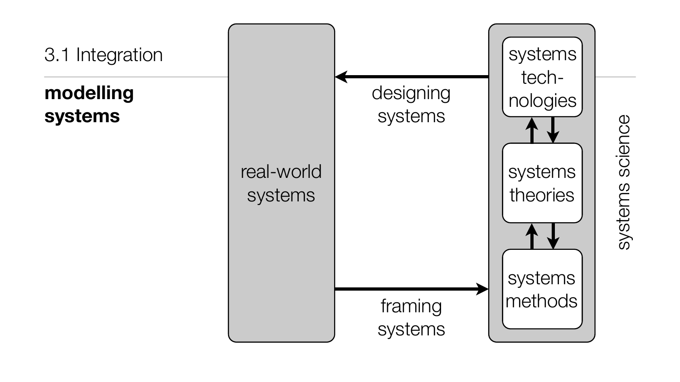# 3.1 Integration

# **modelling systems**

designing systems

framing systems

# real-world systems

systems science systems science

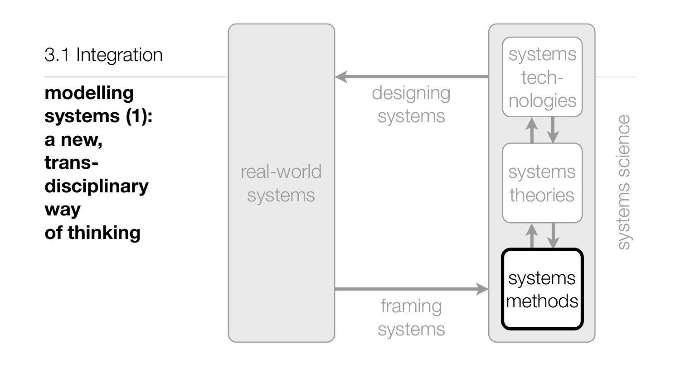3.1 Integration

**modelling systems (1): a new, transdisciplinary way of thinking**

systems science systems science

framing systems

designing systems real-world systems

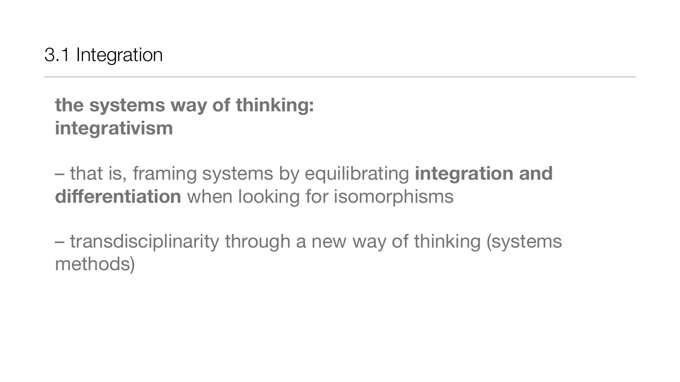3.1 Integration

– that is, framing systems by equilibrating **integration and differentiation** when looking for isomorphisms

# **the systems way of thinking: integrativism**

– transdisciplinarity through a new way of thinking (systems methods)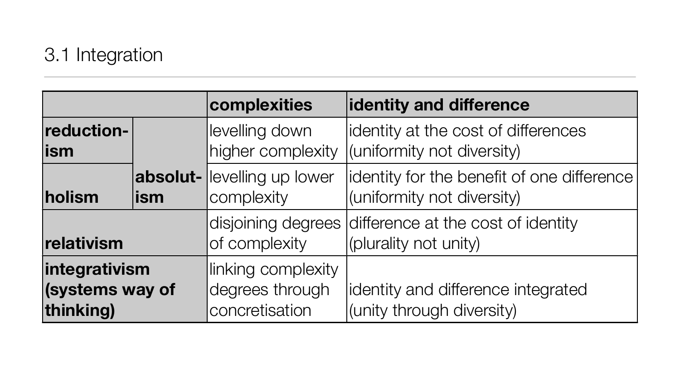## **complexities identity and difference**

- st of differences versity)
- enefit of one difference versity)
- cost of identity
- rence integrated ersity)

|                                               |     | complexities                                            | identity and diffe                           |
|-----------------------------------------------|-----|---------------------------------------------------------|----------------------------------------------|
| reduction-<br><b>ism</b>                      |     | levelling down<br>higher complexity                     | identity at the cost<br>(uniformity not dive |
| holism                                        | ism | <b>absolut-</b> levelling up lower<br>complexity        | identity for the ber<br>(uniformity not dive |
| relativism                                    |     | disjoining degrees<br>of complexity                     | difference at the c<br>(plurality not unity) |
| integrativism<br>(systems way of<br>thinking) |     | linking complexity<br>degrees through<br>concretisation | identity and differe<br>(unity through dive  |

# 3.1 Integration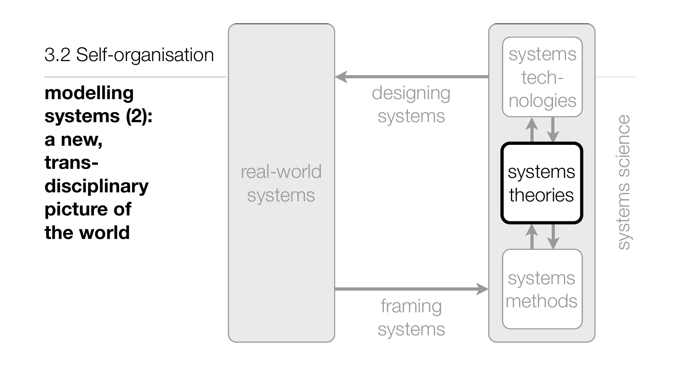## 3.2 Self-organisation

**modelling systems (2): a new, transdisciplinary picture of the world**

systems science systems science

|                       | designing<br>systems |
|-----------------------|----------------------|
| real-world<br>systems |                      |
|                       | framing<br>systems   |

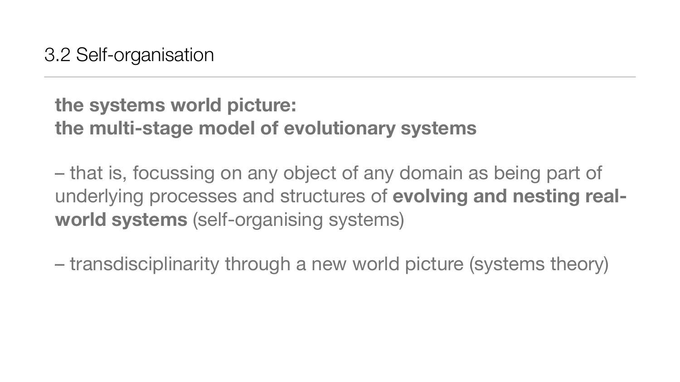# **the systems world picture: the multi-stage model of evolutionary systems**

– that is, focussing on any object of any domain as being part of underlying processes and structures of **evolving and nesting realworld systems** (self-organising systems)

– transdisciplinarity through a new world picture (systems theory)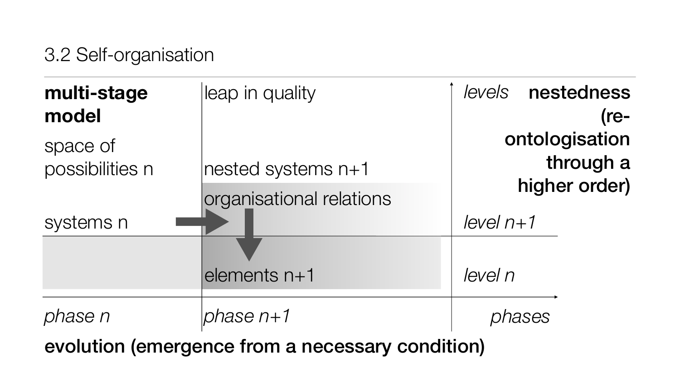## 3.2 Self-organisation

*level n+1*

*level n*

## *phases*

| multi-stage<br>model        | leap in quality          | le |
|-----------------------------|--------------------------|----|
| space of<br>possibilities n | nested systems n+1       |    |
| systems n                   | organisational relations | le |
|                             | elements n+1             | le |
| ase n                       | <i>ohase n</i> +1        |    |

## *levels* nestedness (reontologisation through a higher order)

evolution (emergence from a necessary condition)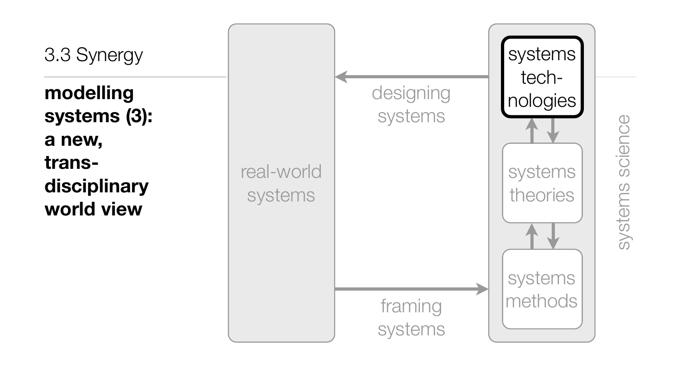3.3 Synergy

**modelling systems (3): a new, transdisciplinary world view**

designing systems

systems science systems science

framing systems

real-world

systems

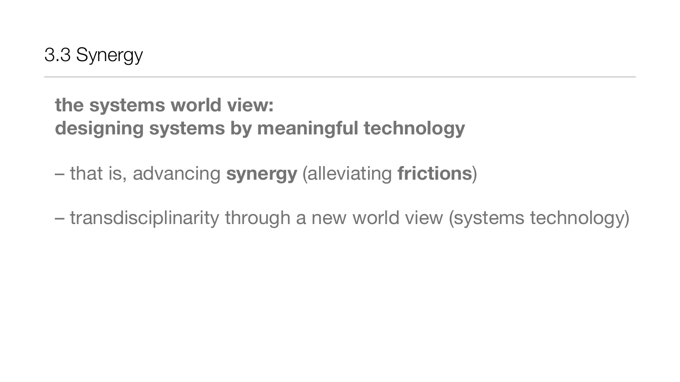# **the systems world view: designing systems by meaningful technology**

- that is, advancing **synergy** (alleviating **frictions**)
- transdisciplinarity through a new world view (systems technology)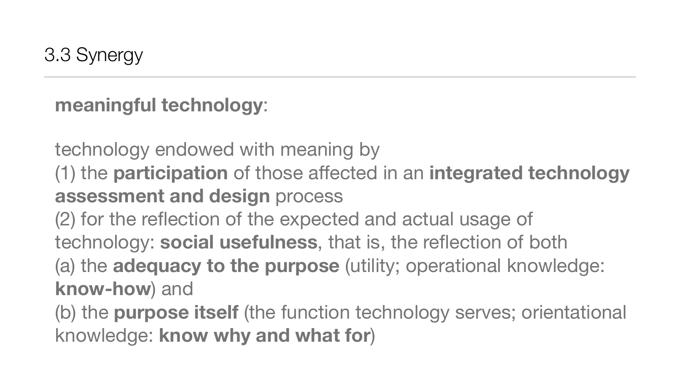# **meaningful technology**:

technology endowed with meaning by (1) the **participation** of those affected in an **integrated technology assessment and design** process

(2) for the reflection of the expected and actual usage of technology: **social usefulness**, that is, the reflection of both (a) the **adequacy to the purpose** (utility; operational knowledge: **know-how**) and

(b) the **purpose itself** (the function technology serves; orientational knowledge: **know why and what for**)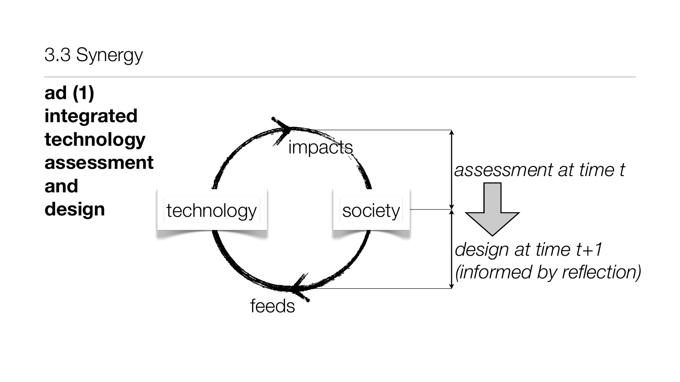# 3.3 Synergy



**ad (1) integrated technology assessment and design**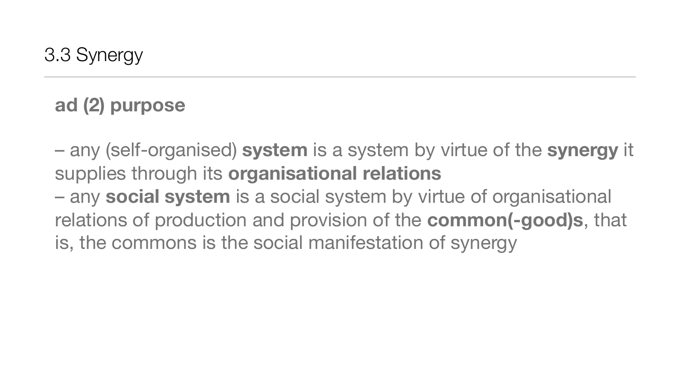# **ad (2) purpose**

– any (self-organised) **system** is a system by virtue of the **synergy** it supplies through its **organisational relations** – any **social system** is a social system by virtue of organisational relations of production and provision of the **common(-good)s**, that is, the commons is the social manifestation of synergy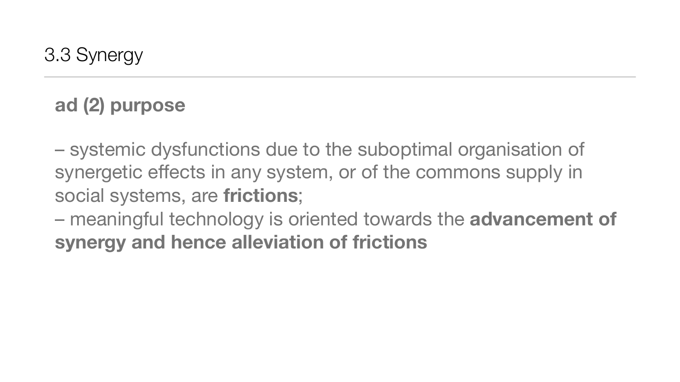# **ad (2) purpose**

– systemic dysfunctions due to the suboptimal organisation of synergetic effects in any system, or of the commons supply in social systems, are **frictions**;

– meaningful technology is oriented towards the **advancement of synergy and hence alleviation of frictions**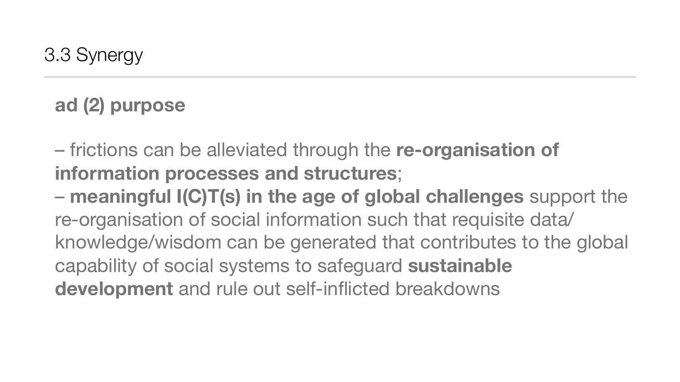# **ad (2) purpose**

– frictions can be alleviated through the **re-organisation of information processes and structures**;

– **meaningful I(C)T(s) in the age of global challenges** support the re-organisation of social information such that requisite data/ knowledge/wisdom can be generated that contributes to the global capability of social systems to safeguard **sustainable development** and rule out self-inflicted breakdowns